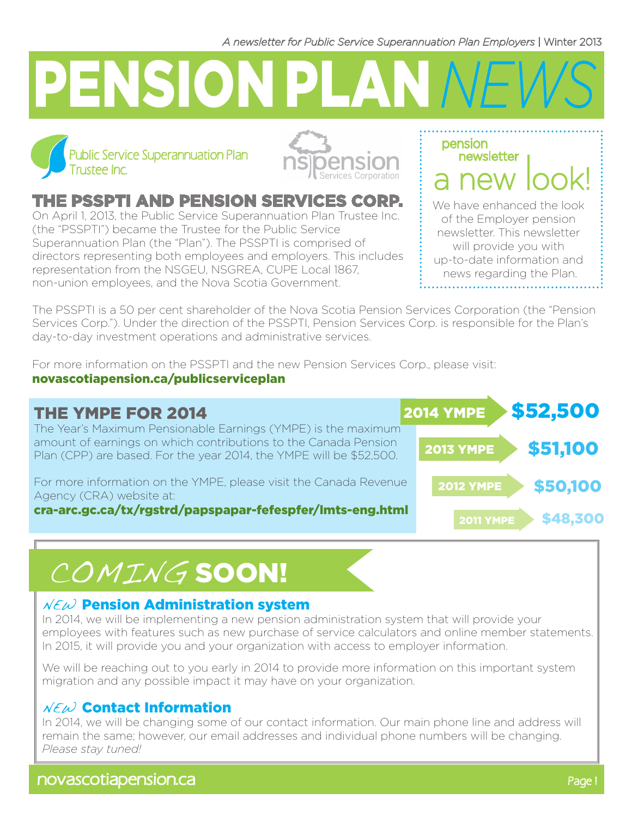*A newsletter for Public Service Superannuation Plan Employers* | Winter 2013

# PENSION PLAN *NEWS*





## the PSSPTI and Pension Services Corp.

On April 1, 2013, the Public Service Superannuation Plan Trustee Inc. (the "PSSPTI") became the Trustee for the Public Service Superannuation Plan (the "Plan"). The PSSPTI is comprised of directors representing both employees and employers. This includes representation from the NSGEU, NSGREA, CUPE Local 1867, non-union employees, and the Nova Scotia Government.

a new look! We have enhanced the look of the Employer pension newsletter. This newsletter will provide you with up-to-date information and news regarding the Plan.

newsletter

pension

The PSSPTI is a 50 per cent shareholder of the Nova Scotia Pension Services Corporation (the "Pension Services Corp."). Under the direction of the PSSPTI, Pension Services Corp. is responsible for the Plan's day-to-day investment operations and administrative services.

For more information on the PSSPTI and the new Pension Services Corp., please visit: novascotiapension.ca/publicserviceplan

# THE YMPE FOR 2014

The Year's Maximum Pensionable Earnings (YMPE) is the maximum amount of earnings on which contributions to the Canada Pension Plan (CPP) are based. For the year 2014, the YMPE will be \$52,500.

For more information on the YMPE, please visit the Canada Revenue Agency (CRA) website at:

cra-arc.gc.ca/tx/rgstrd/papspapar-fefespfer/lmts-eng.html



# COMING SOON!

### $NEM$  Pension Administration system

In 2014, we will be implementing a new pension administration system that will provide your employees with features such as new purchase of service calculators and online member statements. In 2015, it will provide you and your organization with access to employer information.

We will be reaching out to you early in 2014 to provide more information on this important system migration and any possible impact it may have on your organization.

## $NEM$  Contact Information

In 2014, we will be changing some of our contact information. Our main phone line and address will remain the same; however, our email addresses and individual phone numbers will be changing. *Please stay tuned!*